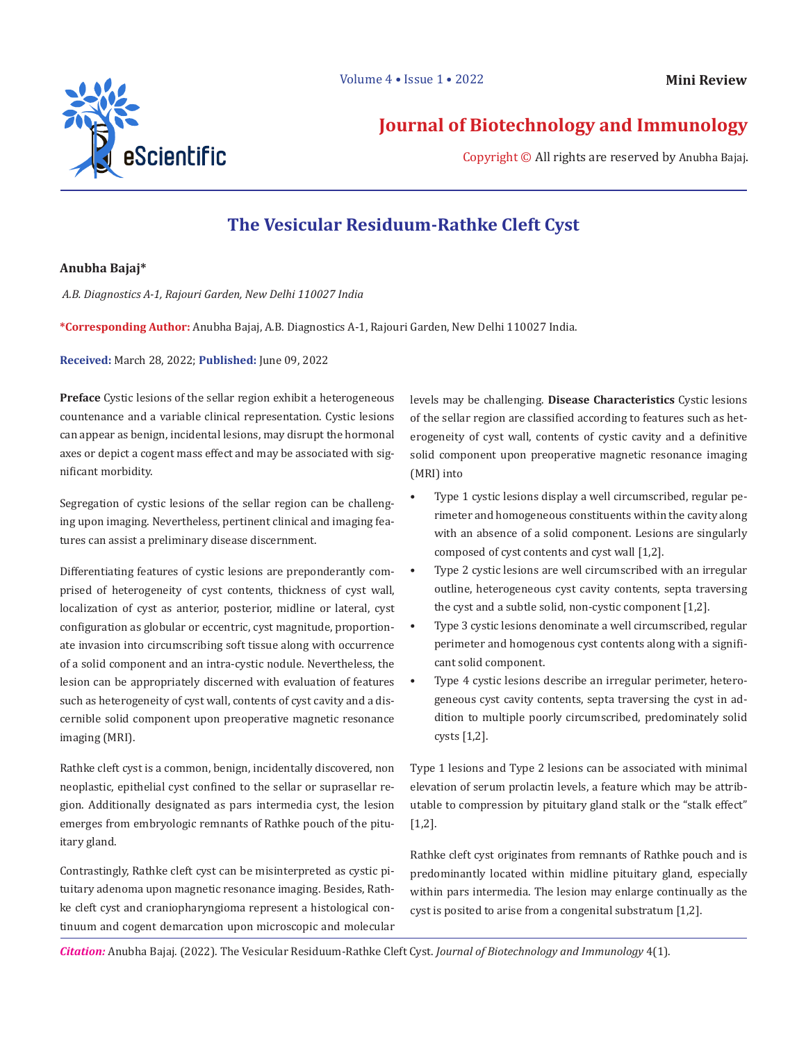

**Journal of Biotechnology and Immunology**

Copyright © All rights are reserved by Anubha Bajaj.

# **The Vesicular Residuum-Rathke Cleft Cyst**

## **Anubha Bajaj\***

 *A.B. Diagnostics A-1, Rajouri Garden, New Delhi 110027 India* 

**\*Corresponding Author:** Anubha Bajaj, A.B. Diagnostics A-1, Rajouri Garden, New Delhi 110027 India.

**Received:** March 28, 2022; **Published:** June 09, 2022

**Preface** Cystic lesions of the sellar region exhibit a heterogeneous countenance and a variable clinical representation. Cystic lesions can appear as benign, incidental lesions, may disrupt the hormonal axes or depict a cogent mass effect and may be associated with significant morbidity.

Segregation of cystic lesions of the sellar region can be challenging upon imaging. Nevertheless, pertinent clinical and imaging features can assist a preliminary disease discernment.

Differentiating features of cystic lesions are preponderantly comprised of heterogeneity of cyst contents, thickness of cyst wall, localization of cyst as anterior, posterior, midline or lateral, cyst configuration as globular or eccentric, cyst magnitude, proportionate invasion into circumscribing soft tissue along with occurrence of a solid component and an intra-cystic nodule. Nevertheless, the lesion can be appropriately discerned with evaluation of features such as heterogeneity of cyst wall, contents of cyst cavity and a discernible solid component upon preoperative magnetic resonance imaging (MRI).

Rathke cleft cyst is a common, benign, incidentally discovered, non neoplastic, epithelial cyst confined to the sellar or suprasellar region. Additionally designated as pars intermedia cyst, the lesion emerges from embryologic remnants of Rathke pouch of the pituitary gland.

Contrastingly, Rathke cleft cyst can be misinterpreted as cystic pituitary adenoma upon magnetic resonance imaging. Besides, Rathke cleft cyst and craniopharyngioma represent a histological continuum and cogent demarcation upon microscopic and molecular levels may be challenging. **Disease Characteristics** Cystic lesions of the sellar region are classified according to features such as heterogeneity of cyst wall, contents of cystic cavity and a definitive solid component upon preoperative magnetic resonance imaging (MRI) into

- Type 1 cystic lesions display a well circumscribed, regular perimeter and homogeneous constituents within the cavity along with an absence of a solid component. Lesions are singularly composed of cyst contents and cyst wall [1,2].
- Type 2 cystic lesions are well circumscribed with an irregular outline, heterogeneous cyst cavity contents, septa traversing the cyst and a subtle solid, non-cystic component [1,2].
- Type 3 cystic lesions denominate a well circumscribed, regular perimeter and homogenous cyst contents along with a significant solid component.
- Type 4 cystic lesions describe an irregular perimeter, heterogeneous cyst cavity contents, septa traversing the cyst in addition to multiple poorly circumscribed, predominately solid cysts [1,2].

Type 1 lesions and Type 2 lesions can be associated with minimal elevation of serum prolactin levels, a feature which may be attributable to compression by pituitary gland stalk or the "stalk effect" [1,2].

Rathke cleft cyst originates from remnants of Rathke pouch and is predominantly located within midline pituitary gland, especially within pars intermedia. The lesion may enlarge continually as the cyst is posited to arise from a congenital substratum [1,2].

*Citation:* Anubha Bajaj. (2022). The Vesicular Residuum-Rathke Cleft Cyst. *Journal of Biotechnology and Immunology* 4(1).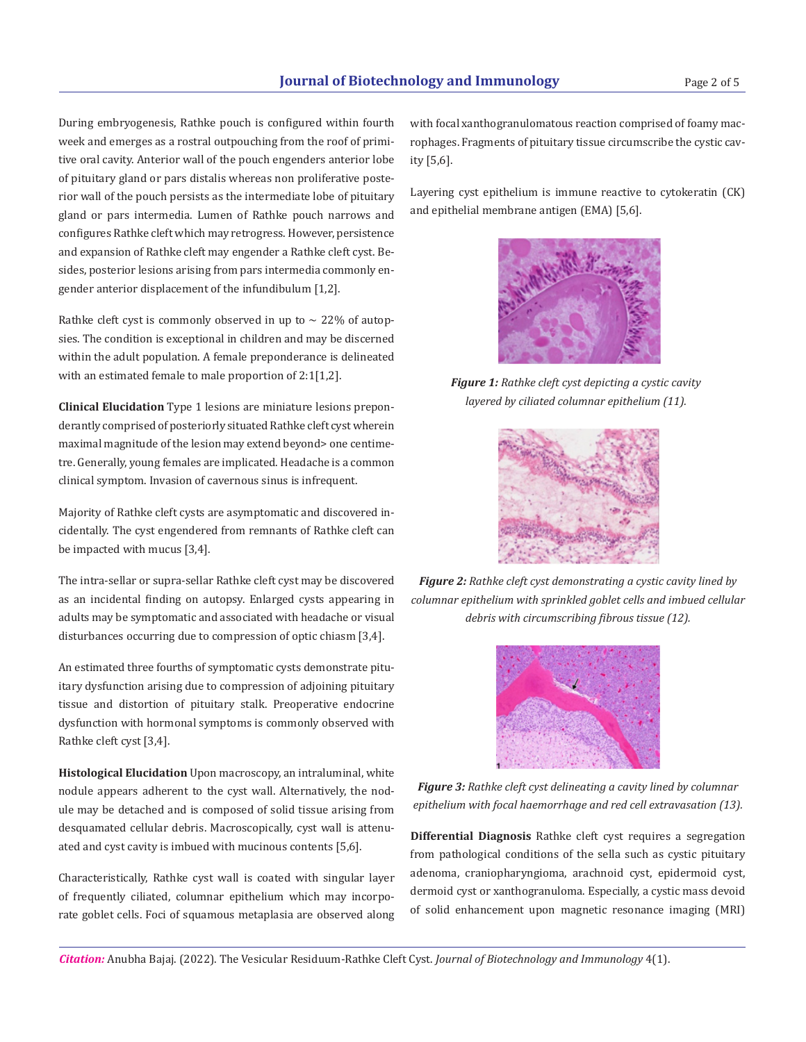During embryogenesis, Rathke pouch is configured within fourth week and emerges as a rostral outpouching from the roof of primitive oral cavity. Anterior wall of the pouch engenders anterior lobe of pituitary gland or pars distalis whereas non proliferative posterior wall of the pouch persists as the intermediate lobe of pituitary gland or pars intermedia. Lumen of Rathke pouch narrows and configures Rathke cleft which may retrogress. However, persistence and expansion of Rathke cleft may engender a Rathke cleft cyst. Besides, posterior lesions arising from pars intermedia commonly engender anterior displacement of the infundibulum [1,2].

Rathke cleft cyst is commonly observed in up to  $\sim$  22% of autopsies. The condition is exceptional in children and may be discerned within the adult population. A female preponderance is delineated with an estimated female to male proportion of 2:1[1,2].

**Clinical Elucidation** Type 1 lesions are miniature lesions preponderantly comprised of posteriorly situated Rathke cleft cyst wherein maximal magnitude of the lesion may extend beyond> one centimetre. Generally, young females are implicated. Headache is a common clinical symptom. Invasion of cavernous sinus is infrequent.

Majority of Rathke cleft cysts are asymptomatic and discovered incidentally. The cyst engendered from remnants of Rathke cleft can be impacted with mucus [3,4].

The intra-sellar or supra-sellar Rathke cleft cyst may be discovered as an incidental finding on autopsy. Enlarged cysts appearing in adults may be symptomatic and associated with headache or visual disturbances occurring due to compression of optic chiasm [3,4].

An estimated three fourths of symptomatic cysts demonstrate pituitary dysfunction arising due to compression of adjoining pituitary tissue and distortion of pituitary stalk. Preoperative endocrine dysfunction with hormonal symptoms is commonly observed with Rathke cleft cyst [3,4].

**Histological Elucidation** Upon macroscopy, an intraluminal, white nodule appears adherent to the cyst wall. Alternatively, the nodule may be detached and is composed of solid tissue arising from desquamated cellular debris. Macroscopically, cyst wall is attenuated and cyst cavity is imbued with mucinous contents [5,6].

Characteristically, Rathke cyst wall is coated with singular layer of frequently ciliated, columnar epithelium which may incorporate goblet cells. Foci of squamous metaplasia are observed along

with focal xanthogranulomatous reaction comprised of foamy macrophages. Fragments of pituitary tissue circumscribe the cystic cavity [5,6].

Layering cyst epithelium is immune reactive to cytokeratin (CK) and epithelial membrane antigen (EMA) [5,6].



*Figure 1: Rathke cleft cyst depicting a cystic cavity layered by ciliated columnar epithelium (11).*



*Figure 2: Rathke cleft cyst demonstrating a cystic cavity lined by columnar epithelium with sprinkled goblet cells and imbued cellular debris with circumscribing fibrous tissue (12).* 



*Figure 3: Rathke cleft cyst delineating a cavity lined by columnar epithelium with focal haemorrhage and red cell extravasation (13).* 

**Differential Diagnosis** Rathke cleft cyst requires a segregation from pathological conditions of the sella such as cystic pituitary adenoma, craniopharyngioma, arachnoid cyst, epidermoid cyst, dermoid cyst or xanthogranuloma. Especially, a cystic mass devoid of solid enhancement upon magnetic resonance imaging (MRI)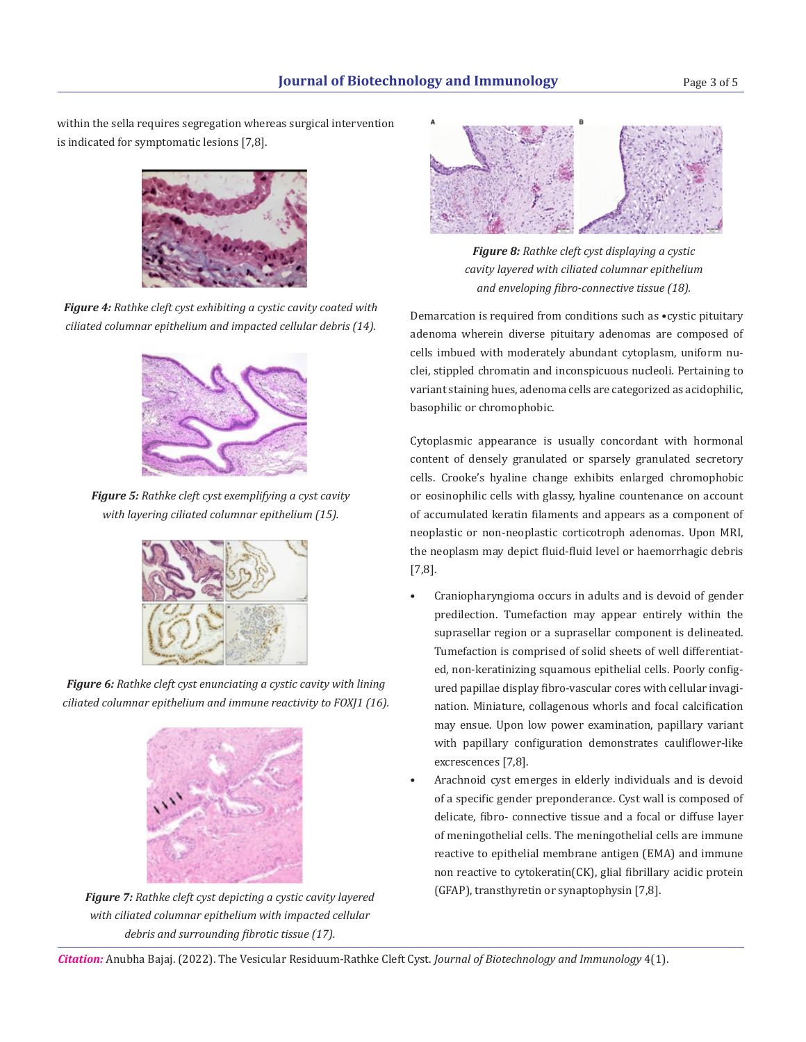within the sella requires segregation whereas surgical intervention is indicated for symptomatic lesions [7,8].



*Figure 4: Rathke cleft cyst exhibiting a cystic cavity coated with ciliated columnar epithelium and impacted cellular debris (14).*



*Figure 5: Rathke cleft cyst exemplifying a cyst cavity with layering ciliated columnar epithelium (15).*



*Figure 6: Rathke cleft cyst enunciating a cystic cavity with lining ciliated columnar epithelium and immune reactivity to FOXJ1 (16).*



*Figure 7: Rathke cleft cyst depicting a cystic cavity layered with ciliated columnar epithelium with impacted cellular debris and surrounding fibrotic tissue (17).* 



*Figure 8: Rathke cleft cyst displaying a cystic cavity layered with ciliated columnar epithelium and enveloping fibro-connective tissue (18).*

Demarcation is required from conditions such as •cystic pituitary adenoma wherein diverse pituitary adenomas are composed of cells imbued with moderately abundant cytoplasm, uniform nuclei, stippled chromatin and inconspicuous nucleoli. Pertaining to variant staining hues, adenoma cells are categorized as acidophilic, basophilic or chromophobic.

Cytoplasmic appearance is usually concordant with hormonal content of densely granulated or sparsely granulated secretory cells. Crooke's hyaline change exhibits enlarged chromophobic or eosinophilic cells with glassy, hyaline countenance on account of accumulated keratin filaments and appears as a component of neoplastic or non-neoplastic corticotroph adenomas. Upon MRI, the neoplasm may depict fluid-fluid level or haemorrhagic debris [7,8].

- Craniopharyngioma occurs in adults and is devoid of gender predilection. Tumefaction may appear entirely within the suprasellar region or a suprasellar component is delineated. Tumefaction is comprised of solid sheets of well differentiated, non-keratinizing squamous epithelial cells. Poorly configured papillae display fibro-vascular cores with cellular invagination. Miniature, collagenous whorls and focal calcification may ensue. Upon low power examination, papillary variant with papillary configuration demonstrates cauliflower-like excrescences [7,8].
- Arachnoid cyst emerges in elderly individuals and is devoid of a specific gender preponderance. Cyst wall is composed of delicate, fibro- connective tissue and a focal or diffuse layer of meningothelial cells. The meningothelial cells are immune reactive to epithelial membrane antigen (EMA) and immune non reactive to cytokeratin(CK), glial fibrillary acidic protein (GFAP), transthyretin or synaptophysin [7,8].

*Citation:* Anubha Bajaj. (2022). The Vesicular Residuum-Rathke Cleft Cyst. *Journal of Biotechnology and Immunology* 4(1).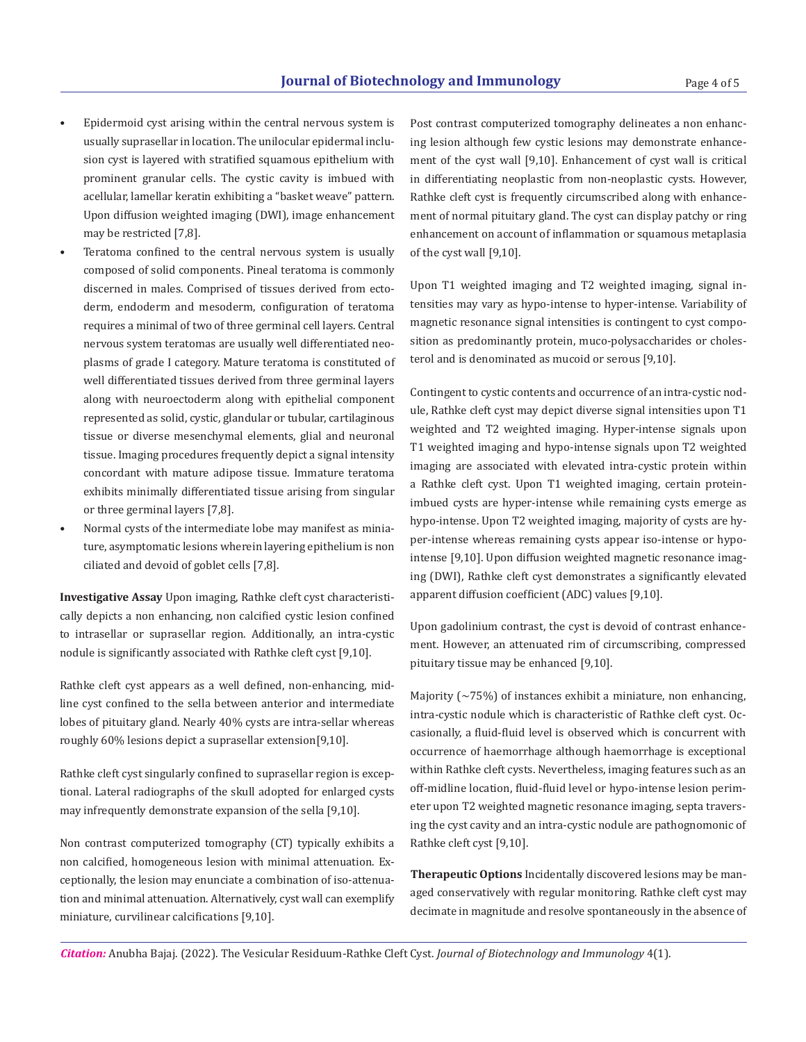- Epidermoid cyst arising within the central nervous system is usually suprasellar in location. The unilocular epidermal inclusion cyst is layered with stratified squamous epithelium with prominent granular cells. The cystic cavity is imbued with acellular, lamellar keratin exhibiting a "basket weave" pattern. Upon diffusion weighted imaging (DWI), image enhancement may be restricted [7,8].
- Teratoma confined to the central nervous system is usually composed of solid components. Pineal teratoma is commonly discerned in males. Comprised of tissues derived from ectoderm, endoderm and mesoderm, configuration of teratoma requires a minimal of two of three germinal cell layers. Central nervous system teratomas are usually well differentiated neoplasms of grade I category. Mature teratoma is constituted of well differentiated tissues derived from three germinal layers along with neuroectoderm along with epithelial component represented as solid, cystic, glandular or tubular, cartilaginous tissue or diverse mesenchymal elements, glial and neuronal tissue. Imaging procedures frequently depict a signal intensity concordant with mature adipose tissue. Immature teratoma exhibits minimally differentiated tissue arising from singular or three germinal layers [7,8].
- Normal cysts of the intermediate lobe may manifest as miniature, asymptomatic lesions wherein layering epithelium is non ciliated and devoid of goblet cells [7,8].

cally depicts a non enhancing, non calcified cystic lesion confined to intrasellar or suprasellar region. Additionally, an intra-cystic nodule is significantly associated with Rathke cleft cyst [9,10].

Rathke cleft cyst appears as a well defined, non-enhancing, midline cyst confined to the sella between anterior and intermediate lobes of pituitary gland. Nearly 40% cysts are intra-sellar whereas roughly 60% lesions depict a suprasellar extension[9,10].

Rathke cleft cyst singularly confined to suprasellar region is exceptional. Lateral radiographs of the skull adopted for enlarged cysts may infrequently demonstrate expansion of the sella [9,10].

Non contrast computerized tomography (CT) typically exhibits a non calcified, homogeneous lesion with minimal attenuation. Exceptionally, the lesion may enunciate a combination of iso-attenuation and minimal attenuation. Alternatively, cyst wall can exemplify miniature, curvilinear calcifications [9,10].

Post contrast computerized tomography delineates a non enhancing lesion although few cystic lesions may demonstrate enhancement of the cyst wall [9,10]. Enhancement of cyst wall is critical in differentiating neoplastic from non-neoplastic cysts. However, Rathke cleft cyst is frequently circumscribed along with enhancement of normal pituitary gland. The cyst can display patchy or ring enhancement on account of inflammation or squamous metaplasia of the cyst wall [9,10].

Upon T1 weighted imaging and T2 weighted imaging, signal intensities may vary as hypo-intense to hyper-intense. Variability of magnetic resonance signal intensities is contingent to cyst composition as predominantly protein, muco-polysaccharides or cholesterol and is denominated as mucoid or serous [9,10].

Contingent to cystic contents and occurrence of an intra-cystic nodule, Rathke cleft cyst may depict diverse signal intensities upon T1 weighted and T2 weighted imaging. Hyper-intense signals upon T1 weighted imaging and hypo-intense signals upon T2 weighted imaging are associated with elevated intra-cystic protein within a Rathke cleft cyst. Upon T1 weighted imaging, certain proteinimbued cysts are hyper-intense while remaining cysts emerge as hypo-intense. Upon T2 weighted imaging, majority of cysts are hyper-intense whereas remaining cysts appear iso-intense or hypointense [9,10]. Upon diffusion weighted magnetic resonance imaging (DWI), Rathke cleft cyst demonstrates a significantly elevated Investigative Assay Upon imaging, Rathke cleft cyst characteristi-<br>
apparent diffusion coefficient (ADC) values [9,10].

> Upon gadolinium contrast, the cyst is devoid of contrast enhancement. However, an attenuated rim of circumscribing, compressed pituitary tissue may be enhanced [9,10].

> Majority  $(\sim 75\%)$  of instances exhibit a miniature, non enhancing, intra-cystic nodule which is characteristic of Rathke cleft cyst. Occasionally, a fluid-fluid level is observed which is concurrent with occurrence of haemorrhage although haemorrhage is exceptional within Rathke cleft cysts. Nevertheless, imaging features such as an off-midline location, fluid-fluid level or hypo-intense lesion perimeter upon T2 weighted magnetic resonance imaging, septa traversing the cyst cavity and an intra-cystic nodule are pathognomonic of Rathke cleft cyst [9,10].

> **Therapeutic Options** Incidentally discovered lesions may be managed conservatively with regular monitoring. Rathke cleft cyst may decimate in magnitude and resolve spontaneously in the absence of

*Citation:* Anubha Bajaj. (2022). The Vesicular Residuum-Rathke Cleft Cyst. *Journal of Biotechnology and Immunology* 4(1).